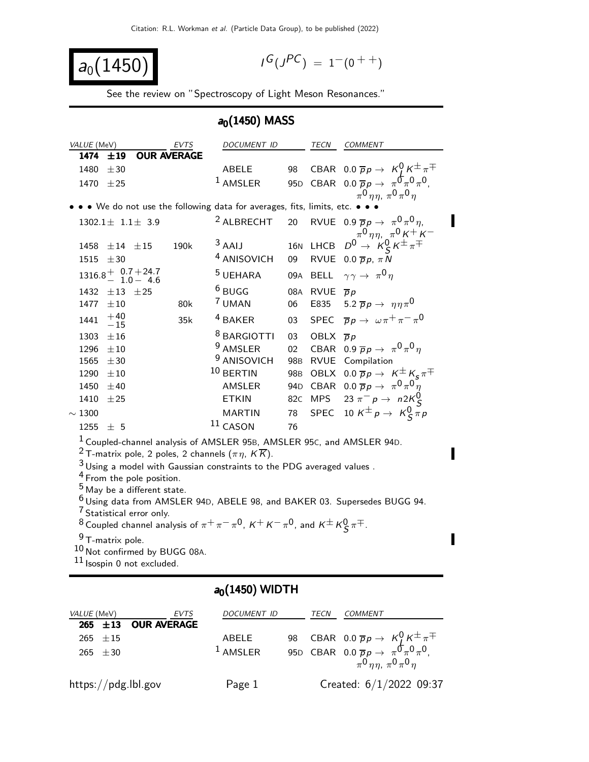$$
a_0(1450)
$$

$$
I^G(J^{PC}) = 1^-(0^{++})
$$

See the review on "Spectroscopy of Light Meson Resonances."

## $a<sub>0</sub>(1450)$  MASS

| <i>VALUE</i> (MeV)                                                                                                                                 |                                                                                                                 |                                                                                | EVTS        | <i>DOCUMENT ID</i>                                                               |                 | TECN                 | <b>COMMENT</b>                                                                                               |  |  |
|----------------------------------------------------------------------------------------------------------------------------------------------------|-----------------------------------------------------------------------------------------------------------------|--------------------------------------------------------------------------------|-------------|----------------------------------------------------------------------------------|-----------------|----------------------|--------------------------------------------------------------------------------------------------------------|--|--|
| 1474                                                                                                                                               | ±19                                                                                                             |                                                                                | OUR AVERAGE |                                                                                  |                 |                      |                                                                                                              |  |  |
| 1480                                                                                                                                               | ±30                                                                                                             |                                                                                |             | ABELE                                                                            | 98              |                      | CBAR 0.0 $\overline{p}p \rightarrow K^0$ , $K^{\pm} \pi^{\mp}$                                               |  |  |
| 1470 $\pm 25$                                                                                                                                      |                                                                                                                 |                                                                                |             | $1$ AMSLER                                                                       | 95 <sub>D</sub> |                      | CBAR 0.0 $\overline{p}p \rightarrow \pi^0 \pi^0 \pi^0$ ,                                                     |  |  |
|                                                                                                                                                    | $\pi^0$ $\eta \eta$ , $\pi^0 \pi^0 \eta$<br>. We do not use the following data for averages, fits, limits, etc. |                                                                                |             |                                                                                  |                 |                      |                                                                                                              |  |  |
|                                                                                                                                                    |                                                                                                                 | $1302.1 \pm 1.1 \pm 3.9$                                                       |             | <sup>2</sup> ALBRECHT                                                            | 20              |                      | RVUE 0.9 $\overline{p}p \rightarrow \pi^0 \pi^0 \eta$ ,                                                      |  |  |
|                                                                                                                                                    |                                                                                                                 |                                                                                |             |                                                                                  |                 |                      |                                                                                                              |  |  |
| 1458                                                                                                                                               | $\pm 14$                                                                                                        | $\pm15$                                                                        | 190k        | $3$ AAIJ                                                                         | <b>16N</b>      | LHCB                 | $D^0\!\!\! \begin{array}{c} \pi^0\eta\eta , \ \pi^0\,K^+\,K^- \ \pi^0 \to \ K^0_S\,K^\pm\pi^\mp \end{array}$ |  |  |
| 1515                                                                                                                                               | ±30                                                                                                             |                                                                                |             | <sup>4</sup> ANISOVICH                                                           | 09              |                      | RVUE 0.0 $\overline{p}p$ , $\pi N$                                                                           |  |  |
|                                                                                                                                                    |                                                                                                                 | $1316.8 + \begin{array}{c} 0.7 + 24.7 \\ 1.0 - 4.6 \end{array}$                |             | <sup>5</sup> UEHARA                                                              | 09A             |                      | BELL $\gamma \gamma \rightarrow \pi^0 \eta$                                                                  |  |  |
| 1432                                                                                                                                               | $\pm 13$                                                                                                        | ±25                                                                            |             | $6$ BUGG                                                                         | 08A             | RVUE $\overline{p}p$ |                                                                                                              |  |  |
| 1477                                                                                                                                               | $\pm 10$                                                                                                        |                                                                                | 80k         | 7 UMAN                                                                           | 06              | E835                 | 5.2 $\overline{p}p \rightarrow \eta \eta \pi^0$                                                              |  |  |
| 1441                                                                                                                                               | $^{+40}_{-15}$                                                                                                  |                                                                                | 35k         | <sup>4</sup> BAKER                                                               | 03              | <b>SPEC</b>          | $\overline{p}p \rightarrow \omega \pi^+ \pi^- \pi^0$                                                         |  |  |
| 1303                                                                                                                                               | ±16                                                                                                             |                                                                                |             | <sup>8</sup> BARGIOTTI                                                           | 03              | OBLX $\overline{p}p$ |                                                                                                              |  |  |
| 1296                                                                                                                                               | $\pm 10$                                                                                                        |                                                                                |             | <sup>9</sup> AMSLER                                                              | 02              |                      | CBAR 0.9 $\overline{p}p \rightarrow \pi^0 \pi^0 \eta$                                                        |  |  |
| 1565                                                                                                                                               | ±30                                                                                                             |                                                                                |             | <sup>9</sup> ANISOVICH                                                           |                 |                      | 98B RVUE Compilation                                                                                         |  |  |
| 1290                                                                                                                                               | $\pm 10$                                                                                                        |                                                                                |             | $10$ BERTIN                                                                      | 98B             |                      | OBLX $0.0 \overline{p}p \rightarrow K^{\pm}K_{\epsilon}\pi^{\mp}$                                            |  |  |
| 1450                                                                                                                                               | ±40                                                                                                             |                                                                                |             | AMSLER                                                                           | 94 <sub>D</sub> |                      | CBAR 0.0 $\overline{p}p \rightarrow \pi^0 \pi^0 \eta$                                                        |  |  |
| 1410                                                                                                                                               | ±25                                                                                                             |                                                                                |             | <b>ETKIN</b>                                                                     | 82 <sub>C</sub> | <b>MPS</b>           | 23 $\pi^- p \to n 2K_S^0$                                                                                    |  |  |
| $\sim$ 1300                                                                                                                                        |                                                                                                                 |                                                                                |             | MARTIN                                                                           | 78              |                      | SPEC 10 $K^{\pm} p \rightarrow K^0_S \bar{\pi} p$                                                            |  |  |
| 1255                                                                                                                                               | ± 5                                                                                                             |                                                                                |             | $11$ CASON                                                                       | 76              |                      |                                                                                                              |  |  |
|                                                                                                                                                    |                                                                                                                 |                                                                                |             | <sup>1</sup> Coupled-channel analysis of AMSLER 95B, AMSLER 95C, and AMSLER 94D. |                 |                      |                                                                                                              |  |  |
|                                                                                                                                                    |                                                                                                                 |                                                                                |             | <sup>2</sup> T-matrix pole, 2 poles, 2 channels $(\pi \eta, K \overline{K})$ .   |                 |                      |                                                                                                              |  |  |
|                                                                                                                                                    |                                                                                                                 |                                                                                |             | $3$ Using a model with Gaussian constraints to the PDG averaged values.          |                 |                      |                                                                                                              |  |  |
|                                                                                                                                                    |                                                                                                                 | <sup>4</sup> From the pole position.<br><sup>5</sup> May be a different state. |             |                                                                                  |                 |                      |                                                                                                              |  |  |
|                                                                                                                                                    |                                                                                                                 |                                                                                |             |                                                                                  |                 |                      | $^6$ Using data from AMSLER 94D, ABELE 98, and BAKER 03. Supersedes BUGG 94.                                 |  |  |
|                                                                                                                                                    |                                                                                                                 |                                                                                |             |                                                                                  |                 |                      |                                                                                                              |  |  |
| <sup>7</sup> Statistical error only.<br><sup>8</sup> Coupled channel analysis of $\pi^+\pi^-\pi^0$ , $K^+K^-\pi^0$ , and $K^{\pm}K^0_S\pi^{\mp}$ . |                                                                                                                 |                                                                                |             |                                                                                  |                 |                      |                                                                                                              |  |  |
| <sup>9</sup> T-matrix pole.                                                                                                                        |                                                                                                                 |                                                                                |             |                                                                                  |                 |                      |                                                                                                              |  |  |
| 10 Not confirmed by BUGG 08A.                                                                                                                      |                                                                                                                 |                                                                                |             |                                                                                  |                 |                      |                                                                                                              |  |  |
| $11$ Isospin 0 not excluded.                                                                                                                       |                                                                                                                 |                                                                                |             |                                                                                  |                 |                      |                                                                                                              |  |  |
| $a_0(1450)$ WIDTH                                                                                                                                  |                                                                                                                 |                                                                                |             |                                                                                  |                 |                      |                                                                                                              |  |  |
|                                                                                                                                                    |                                                                                                                 |                                                                                |             |                                                                                  |                 |                      |                                                                                                              |  |  |
| <i>VALUE</i> (MeV)                                                                                                                                 |                                                                                                                 |                                                                                | <b>EVTS</b> | DOCUMENT ID                                                                      |                 | TECN                 | COMMENT                                                                                                      |  |  |

| VALUL (IVIEV)                  | $1 \vee 1.3$ | <i>D</i> UCUMLINI ID | $1$ L C $N$ | CONDIVIERE                                                                                               |
|--------------------------------|--------------|----------------------|-------------|----------------------------------------------------------------------------------------------------------|
| 265 $\pm$ 13 OUR AVERAGE       |              |                      |             |                                                                                                          |
| $265 \pm 15$                   |              | ABELE                |             | 98 CBAR 0.0 $\overline{p}p \rightarrow K^0_I K^{\pm} \pi^{\mp}$                                          |
| 265 $\pm 30$                   |              | $1$ AMSLER           |             | 95D CBAR 0.0 $\overline{p}p \rightarrow \pi^0 \pi^0 \pi^0$ ,<br>$\pi^0$ $\eta \eta$ , $\pi^0 \pi^0 \eta$ |
| $\frac{https://pdg.1b1.gov}{%$ |              | Page 1               |             | Created: 6/1/2022 09:37                                                                                  |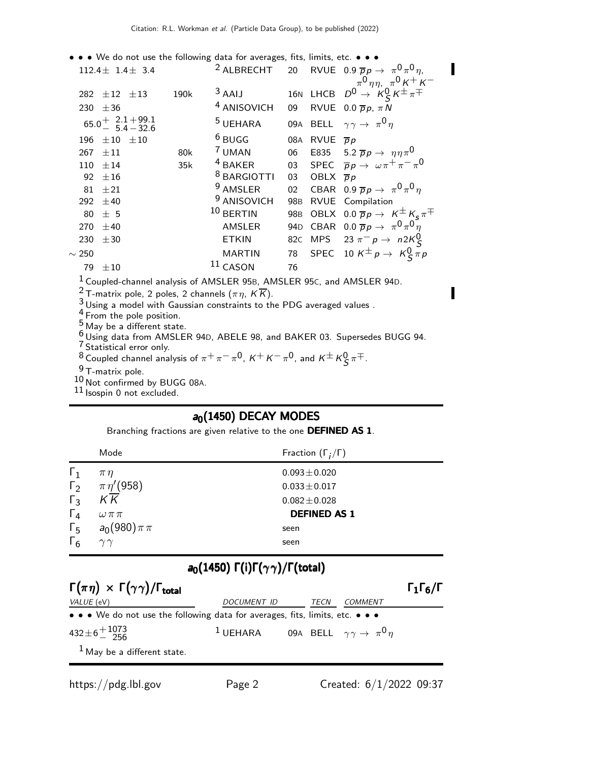- • We do not use the following data for averages, fits, limits, etc. •  $112.4 \pm 1.4 \pm 3.4$ <sup>2</sup> ALBRECHT 20 RVUE 0.9  $\overline{p}p \rightarrow \pi^0 \pi^0 \eta$ ,  $\pi^{0}$   $\eta \eta$ ,  $\pi^{0}$  K<sup>+</sup> K<sup>-</sup> 282  $\pm$ 12  $\pm$ 13 190k  $^3$  AAIJ 16N LHCB  $D^0 \rightarrow K^0_S K^{\pm} \pi^{\mp}$ 230  $\pm 36$  4 ANISOVICH 09 RVUE 0.0  $\overline{p}p$ ,  $\pi N$  $65.0^{+}$  2.1 − 5.4  $+99.1$  $-32.6$  $^5$ UEHARA 09A BELL  $\gamma \gamma \rightarrow \ \pi^0 \eta$ 196  $\pm 10$   $\pm 10$   $\phantom{00}$   $\phantom{00}$   $\phantom{00}$  BUGG  $\phantom{00}$  08A RVUE  $\overline{p}$   $p$  $267 \pm 11$  80k <sup>7</sup> UMAN 06 E835 5.2  $\overline{p}p \rightarrow \eta\eta\pi^0$ <br>110  $\pm 14$  35k <sup>4</sup> BAKER 03 SPEC  $\overline{p}p \rightarrow \omega\pi^+\pi^-\pi^+$ 110  $\pm$ 14 35k 4 BAKER 03 SPEC  $\overline{p}p \to \omega \pi^+ \pi^- \pi^0$ 92  $\pm 16$  8 BARGIOTTI 03 OBLX  $\bar{p}p$ 81  $\pm$ 21 9 AMSLER 02 CBAR 0.9  $\overline{p}p \rightarrow \pi^0 \pi^0 \eta$ 292  $\pm$ 40 <sup>9</sup> ANISOVICH 98B RVUE Compilation<br>80  $\pm$  5 <sup>10</sup> BERTIN 98B OBLX 0.0  $\overline{p}p \rightarrow 1$ 80 ± 5  $^{10}$  BERTIN 98B OBLX 0.0  $\overline{p}p \rightarrow K^{\pm} K_S \pi^{\mp}$ 270 ±40 AMSLER 94D CBAR 0.0 p p → π 0 π 0 η 230  $\pm$ 30 ETKIN 82C MPS 23  $\pi^-$  p  $\rightarrow$  n2K<sup>O</sup>S  $\sim$  250 MARTIN 78 SPEC 10 K<sup>±</sup> p → K<sup>0</sup>S  $\pi$  p 79  $\pm 10$  11 CASON 76 1 Coupled-channel analysis of AMSLER 95B, AMSLER 95C, and AMSLER 94D.
	- <sup>2</sup> T-matrix pole, 2 poles, 2 channels ( $\pi \eta$ ,  $K \overline{K}$ ).

3 Using a model with Gaussian constraints to the PDG averaged values .

4 From the pole position.

5 May be a different state.

 $6$  Using data from AMSLER 94D, ABELE 98, and BAKER 03. Supersedes BUGG 94.

7 Statistical error only. <sup>8</sup> Coupled channel analysis of  $\pi^+ \pi^- \pi^0$ ,  $\kappa^+ \kappa^- \pi^0$ , and  $\kappa^\pm \kappa^0_S \pi^\mp$ .

9 T-matrix pole.

10 Not confirmed by BUGG 08A.

 $11$  Isospin 0 not excluded.

## $a_0(1450)$  DECAY MODES

Branching fractions are given relative to the one DEFINED AS 1.

|              | Mode                  | Fraction $(\Gamma_i/\Gamma)$ |
|--------------|-----------------------|------------------------------|
| $\Gamma_1$   | $\pi\eta$             | $0.093 \pm 0.020$            |
| $\Gamma_2$   | $\pi\eta^\prime(958)$ | $0.033 \pm 0.017$            |
| $\Gamma_3$   | K K                   | $0.082 \pm 0.028$            |
| $\Gamma_4$   | $\omega \pi \pi$      | <b>DEFINED AS 1</b>          |
| $\Gamma_{5}$ | $a_0(980)\pi\pi$      | seen                         |
| $\Gamma_6$   | $\gamma\gamma$        | seen                         |

## a<sub>0</sub>(1450) Γ(i)Γ( $\gamma \gamma$ )/Γ(total)

| $\Gamma(\pi \eta) \times \Gamma(\gamma \gamma) / \Gamma_{\text{total}}$       |                                                                     |      |         | $\Gamma_1\Gamma_6/\Gamma$ |
|-------------------------------------------------------------------------------|---------------------------------------------------------------------|------|---------|---------------------------|
| VALUE (eV)                                                                    | <i>DOCUMENT ID</i>                                                  | TECN | COMMENT |                           |
| • • • We do not use the following data for averages, fits, limits, etc. • • • |                                                                     |      |         |                           |
| $432 \pm 6 \frac{+1073}{256}$                                                 | <sup>1</sup> UEHARA 09A BELL $\gamma \gamma \rightarrow \pi^0 \eta$ |      |         |                           |
| $1$ May be a different state.                                                 |                                                                     |      |         |                           |

I

Π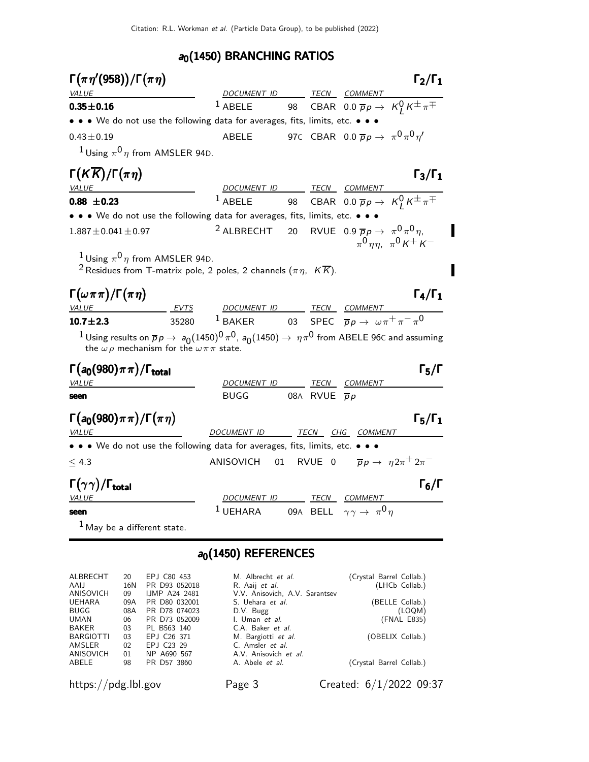## $a_0(1450)$  BRANCHING RATIOS

| $\Gamma(\pi\eta'(958))/\Gamma(\pi\eta)$                                                                                                                                        |                              |                                                                                  |  |                                                                    | $\Gamma_2/\Gamma_1$                                             |
|--------------------------------------------------------------------------------------------------------------------------------------------------------------------------------|------------------------------|----------------------------------------------------------------------------------|--|--------------------------------------------------------------------|-----------------------------------------------------------------|
| <b>VALUE</b>                                                                                                                                                                   |                              | DOCUMENT ID TECN COMMENT                                                         |  |                                                                    |                                                                 |
| $0.35 + 0.16$                                                                                                                                                                  |                              | $1$ ABELE                                                                        |  |                                                                    | 98 CBAR 0.0 $\overline{p}p \rightarrow K_l^0 K^{\pm} \pi^{\mp}$ |
| • • • We do not use the following data for averages, fits, limits, etc. • • •                                                                                                  |                              |                                                                                  |  |                                                                    |                                                                 |
| $0.43 \pm 0.19$                                                                                                                                                                |                              | ABELE                                                                            |  | 97C CBAR 0.0 $\overline{p}p \rightarrow \pi^0 \pi^0 \eta^{\prime}$ |                                                                 |
| <sup>1</sup> Using $\pi^{0}$ <i>n</i> from AMSLER 94D.                                                                                                                         |                              |                                                                                  |  |                                                                    |                                                                 |
| $\Gamma(K\overline{K})/\Gamma(\pi\eta)$                                                                                                                                        |                              |                                                                                  |  |                                                                    | $\Gamma_3/\Gamma_1$                                             |
| <b>VALUE</b>                                                                                                                                                                   |                              | DOCUMENT ID TECN COMMENT                                                         |  |                                                                    |                                                                 |
| $0.88 \pm 0.23$                                                                                                                                                                |                              | $1$ ABELE                                                                        |  |                                                                    | 98 CBAR 0.0 $\overline{p}p \rightarrow K_I^0 K^{\pm} \pi^{\mp}$ |
| • • • We do not use the following data for averages, fits, limits, etc. • • •                                                                                                  |                              |                                                                                  |  |                                                                    |                                                                 |
| $1.887 \pm 0.041 \pm 0.97$                                                                                                                                                     |                              | <sup>2</sup> ALBRECHT 20 RVUE 0.9 $\overline{p}p \rightarrow \pi^0 \pi^0 \eta$ , |  |                                                                    | $\pi^0$ nn, $\pi^0$ K + K –                                     |
| <sup>1</sup> Using $\pi^0 \eta$ from AMSLER 94D.<br><sup>2</sup> Residues from T-matrix pole, 2 poles, 2 channels ( $\pi \eta,~\,K \overline{K}$ ).                            |                              |                                                                                  |  |                                                                    |                                                                 |
| $\Gamma(\omega \pi \pi)/\Gamma(\pi \eta)$                                                                                                                                      |                              |                                                                                  |  |                                                                    | $\Gamma_4/\Gamma_1$                                             |
| <b>VALUE</b>                                                                                                                                                                   | <b>EVTS</b>                  | DOCUMENT ID TECN COMMENT                                                         |  |                                                                    |                                                                 |
| $10.7 + 2.3$                                                                                                                                                                   | 35280                        | <sup>1</sup> BAKER 03 SPEC $\overline{p}p \to \omega \pi^+ \pi^- \pi^0$          |  |                                                                    |                                                                 |
| $1$ Using results on $\overline{p}p\to a_0(1450)^0\pi^0$ , $a_0(1450)\to \eta\pi^0$ from ABELE 96C and assuming<br>the $\omega \rho$ mechanism for the $\omega \pi \pi$ state. |                              |                                                                                  |  |                                                                    |                                                                 |
| $\Gamma(a_0(980)\pi\pi)/\Gamma_{\rm total}$                                                                                                                                    |                              |                                                                                  |  |                                                                    | $\Gamma_5/\Gamma$                                               |
| VALUE                                                                                                                                                                          |                              | DOCUMENT ID TECN COMMENT                                                         |  |                                                                    |                                                                 |
| seen                                                                                                                                                                           |                              | BUGG 08A RVUE $\overline{p}p$                                                    |  |                                                                    |                                                                 |
| $\Gamma(a_0(980)\pi\pi)/\Gamma(\pi\eta)$<br><i>VALUE</i>                                                                                                                       |                              | DOCUMENT ID TECN CHG COMMENT                                                     |  |                                                                    | $\Gamma_5/\Gamma_1$                                             |
| • • • We do not use the following data for averages, fits, limits, etc. • • •                                                                                                  |                              |                                                                                  |  |                                                                    |                                                                 |
| $\leq 4.3$                                                                                                                                                                     |                              | ANISOVICH 01                                                                     |  | RVUE 0 $\overline{p}p \rightarrow \eta 2\pi^+ 2\pi^-$              |                                                                 |
| $\Gamma(\gamma\gamma)/\Gamma_{\rm total}$                                                                                                                                      |                              | DOCUMENT ID TECN COMMENT                                                         |  |                                                                    | $\Gamma_6/\Gamma$                                               |
| <i>VALUE</i><br>seen                                                                                                                                                           |                              | $1$ UEHARA                                                                       |  | 09A BELL $\gamma \gamma \rightarrow \pi^0 \eta$                    |                                                                 |
| $1$ May be a different state.                                                                                                                                                  |                              |                                                                                  |  |                                                                    |                                                                 |
|                                                                                                                                                                                |                              | $a_0(1450)$ REFERENCES                                                           |  |                                                                    |                                                                 |
| ALBRECHT<br>20<br>AAIJ<br>16N                                                                                                                                                  | EPJ C80 453<br>PR D93 052018 | M. Albrecht et al.<br>R. Aaij et al.                                             |  |                                                                    | (Crystal Barrel Collab.)<br>(LHCb Collab.)                      |

| ALBRECHT  | 20. | EPJ C80 453          | M. Albrecht <i>et al.</i>      | (Crystal Barrel Collab.) |
|-----------|-----|----------------------|--------------------------------|--------------------------|
| AALI      | 16N | PR D93 052018        | R. Aaij et al.                 | (LHCb Collab.)           |
| ANISOVICH | 09  | <b>IJMP A24 2481</b> | V.V. Anisovich, A.V. Sarantsev |                          |
| UEHARA    | 09A | PR D80 032001        | S. Uehara et al.               | (BELLE Collab.)          |
| BUGG      | 08A | PR D78 074023        | D.V. Bugg                      | (LOQM)                   |
| UMAN      | 06  | PR D73 052009        | I. Uman et al.                 | (FNAL E835)              |
| BAKER     | 03  | PL B563 140          | C.A. Baker et al.              |                          |
| BARGIOTTI | 03  | EPJ C26 371          | M. Bargiotti et al.            | (OBELIX Collab.)         |
| AMSLER    | 02  | EPJ C23 29           | C. Amsler et al.               |                          |
| ANISOVICH | 01  | NP A690 567          | A.V. Anisovich et al.          |                          |
| ABELE     | 98  | PR D57 3860          | A. Abele <i>et al.</i>         | (Crystal Barrel Collab.) |
|           |     |                      |                                |                          |
|           |     |                      |                                |                          |

https://pdg.lbl.gov Page 3 Created: 6/1/2022 09:37

 $\blacksquare$ 

Π